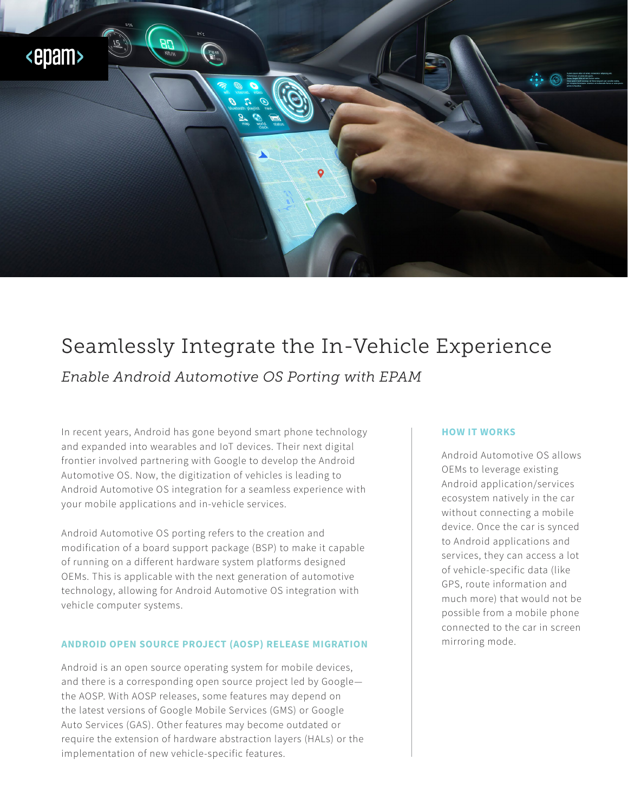

# Seamlessly Integrate the In-Vehicle Experience

*Enable Android Automotive OS Porting with EPAM*

In recent years, Android has gone beyond smart phone technology and expanded into wearables and IoT devices. Their next digital frontier involved partnering with Google to develop the Android Automotive OS. Now, the digitization of vehicles is leading to Android Automotive OS integration for a seamless experience with your mobile applications and in-vehicle services.

Android Automotive OS porting refers to the creation and modification of a board support package (BSP) to make it capable of running on a different hardware system platforms designed OEMs. This is applicable with the next generation of automotive technology, allowing for Android Automotive OS integration with vehicle computer systems.

## **ANDROID OPEN SOURCE PROJECT (AOSP) RELEASE MIGRATION**

Android is an open source operating system for mobile devices, and there is a corresponding open source project led by Google the AOSP. With AOSP releases, some features may depend on the latest versions of Google Mobile Services (GMS) or Google Auto Services (GAS). Other features may become outdated or require the extension of hardware abstraction layers (HALs) or the implementation of new vehicle-specific features.

### **HOW IT WORKS**

Android Automotive OS allows OEMs to leverage existing Android application/services ecosystem natively in the car without connecting a mobile device. Once the car is synced to Android applications and services, they can access a lot of vehicle-specific data (like GPS, route information and much more) that would not be possible from a mobile phone connected to the car in screen mirroring mode.